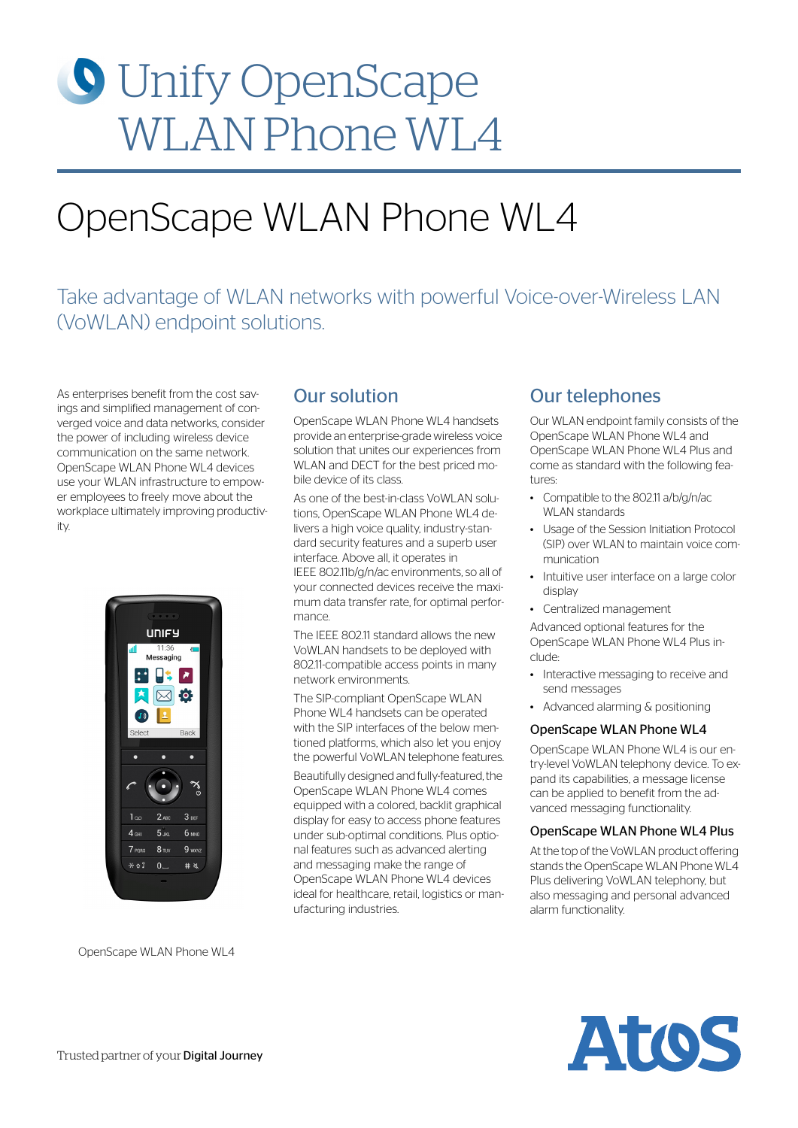# **O** Unify OpenScape WLAN Phone WL4

## OpenScape WLAN Phone WL4

## Take advantage of WLAN networks with powerful Voice-over-Wireless LAN (VoWLAN) endpoint solutions.

As enterprises benefit from the cost savings and simplified management of converged voice and data networks, consider the power of including wireless device communication on the same network. OpenScape WLAN Phone WL4 devices use your WLAN infrastructure to empower employees to freely move about the workplace ultimately improving productivity.



OpenScape WLAN Phone WL4

## Our solution

OpenScape WLAN Phone WL4 handsets provide an enterprise-grade wireless voice solution that unites our experiences from WLAN and DECT for the best priced mobile device of its class.

As one of the best-in-class VoWLAN solutions, OpenScape WLAN Phone WL4 delivers a high voice quality, industry-standard security features and a superb user interface. Above all, it operates in IEEE 802.11b/g/n/ac environments, so all of your connected devices receive the maximum data transfer rate, for optimal performance.

The IEEE 802.11 standard allows the new VoWLAN handsets to be deployed with 802.11-compatible access points in many network environments.

The SIP-compliant OpenScape WLAN Phone WL4 handsets can be operated with the SIP interfaces of the below mentioned platforms, which also let you enjoy the powerful VoWLAN telephone features.

Beautifully designed and fully-featured, the OpenScape WLAN Phone WL4 comes equipped with a colored, backlit graphical display for easy to access phone features under sub-optimal conditions. Plus optional features such as advanced alerting and messaging make the range of OpenScape WLAN Phone WL4 devices ideal for healthcare, retail, logistics or manufacturing industries.

## Our telephones

Our WLAN endpoint family consists of the OpenScape WLAN Phone WL4 and OpenScape WLAN Phone WL4 Plus and come as standard with the following features:

- Compatible to the 80211 a/b/g/n/ac WLAN standards
- Usage of the Session Initiation Protocol (SIP) over WLAN to maintain voice communication
- Intuitive user interface on a large color display
- Centralized management

Advanced optional features for the OpenScape WLAN Phone WL4 Plus include:

- Interactive messaging to receive and send messages
- Advanced alarming & positioning

#### OpenScape WLAN Phone WL4

OpenScape WLAN Phone WL4 is our entry-level VoWLAN telephony device. To expand its capabilities, a message license can be applied to benefit from the advanced messaging functionality.

#### OpenScape WLAN Phone WL4 Plus

At the top of the VoWLAN product offering stands the OpenScape WLAN Phone WL4 Plus delivering VoWLAN telephony, but also messaging and personal advanced alarm functionality.

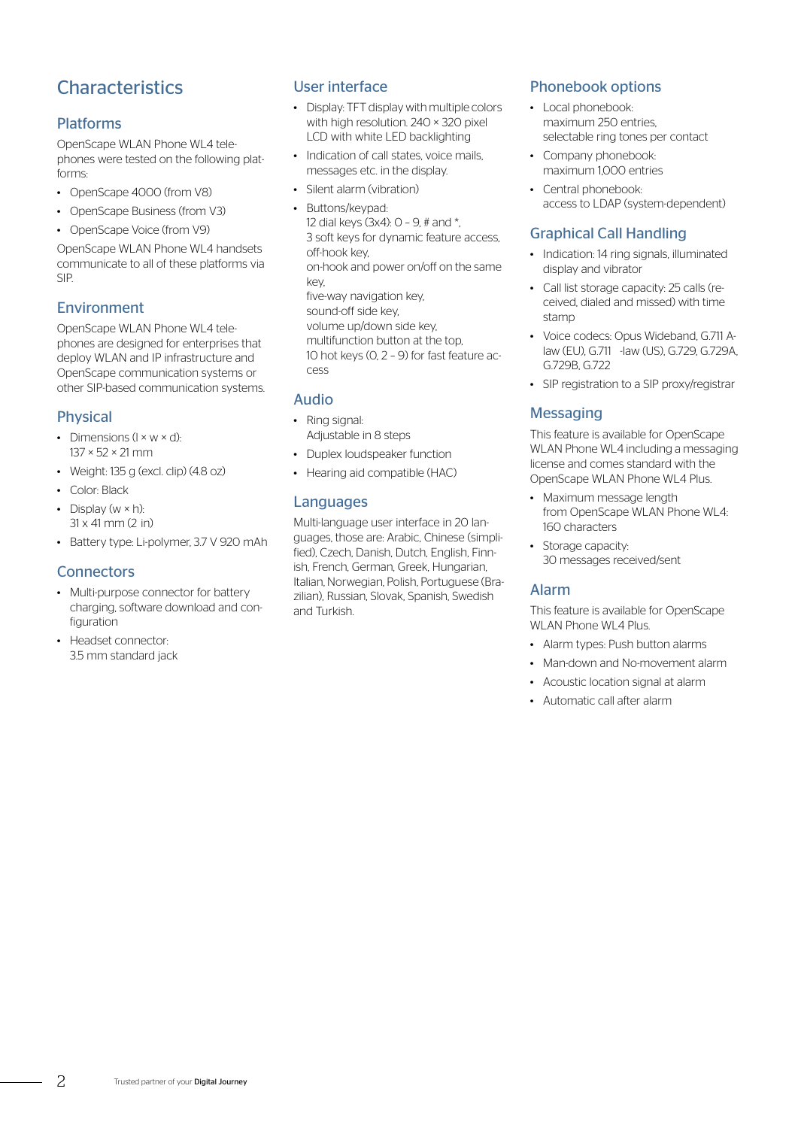## **Characteristics**

#### Platforms

OpenScape WLAN Phone WL4 telephones were tested on the following platforms:

- OpenScape 4000 (from V8)
- OpenScape Business (from V3)
- OpenScape Voice (from V9)

OpenScape WLAN Phone WL4 handsets communicate to all of these platforms via SIP.

#### Environment

OpenScape WLAN Phone WL4 telephones are designed for enterprises that deploy WLAN and IP infrastructure and OpenScape communication systems or other SIP-based communication systems.

#### Physical

- Dimensions  $(l \times w \times d)$ : 137 × 52 × 21 mm
- Weight: 135 g (excl. clip)  $(4.8 \text{ oz})$
- Color: Black
- Display  $(w \times h)$ :  $31 \times 41$  mm  $(2 \text{ in})$
- Battery type: Li-polymer, 3.7 V 920 mAh

#### **Connectors**

- Multi-purpose connector for battery charging, software download and configuration
- Headset connector: 3.5 mm standard jack

#### User interface

- Display: TFT display with multiple colors with high resolution. 240 × 320 pixel LCD with white LED backlighting
- Indication of call states, voice mails messages etc. in the display.
- Silent alarm (vibration)
- Buttons/keypad:

12 dial keys  $(3x4)$ :  $0 - 9$ , # and \*, 3 soft keys for dynamic feature access, off-hook key, on-hook and power on/off on the same key, five-way navigation key, sound-off side key, volume up/down side key,

multifunction button at the top, 10 hot keys (0, 2 – 9) for fast feature access

#### Audio

- Ring signal: Adjustable in 8 steps
- Duplex loudspeaker function
- Hearing aid compatible (HAC)

#### Languages

Multi-language user interface in 20 languages, those are: Arabic, Chinese (simplified), Czech, Danish, Dutch, English, Finnish, French, German, Greek, Hungarian, Italian, Norwegian, Polish, Portuguese (Brazilian), Russian, Slovak, Spanish, Swedish and Turkish.

#### Phonebook options

- Local phonebook· maximum 250 entries, selectable ring tones per contact
- Company phonebook: maximum 1,000 entries
- Central phonebook: access to LDAP (system-dependent)

#### Graphical Call Handling

- Indication: 14 ring signals, illuminated display and vibrator
- Call list storage capacity: 25 calls (received, dialed and missed) with time stamp
- Voice codecs: Opus Wideband, G.711 Alaw (EU), G.711 -law (US), G.729, G.729A, G.729B, G.722
- SIP registration to a SIP proxy/registrar

#### **Messaging**

This feature is available for OpenScape WLAN Phone WL4 including a messaging license and comes standard with the OpenScape WLAN Phone WL4 Plus.

- Maximum message length from OpenScape WLAN Phone WL4: 160 characters
- Storage capacity: 30 messages received/sent

#### Alarm

This feature is available for OpenScape WLAN Phone WL4 Plus.

- Alarm types: Push button alarms
- Man-down and No-movement alarm
- Acoustic location signal at alarm
- Automatic call after alarm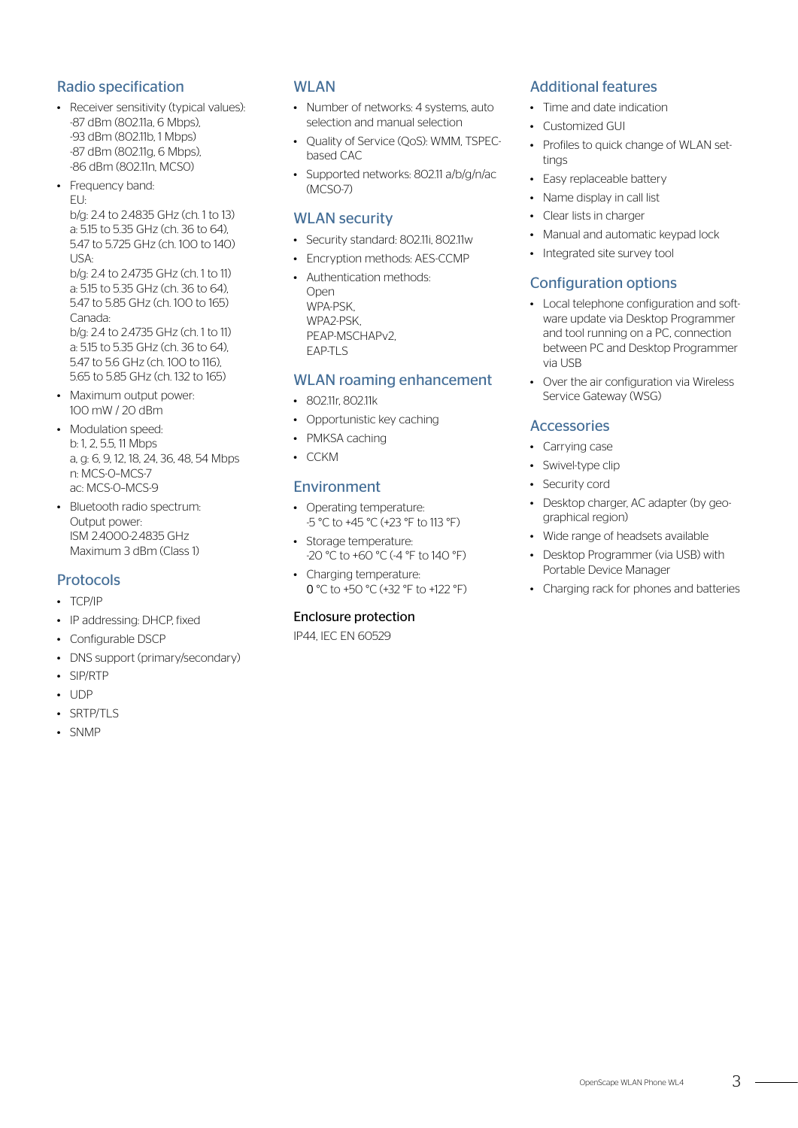#### Radio specification

- Receiver sensitivity (typical values): -87 dBm (802.11a, 6 Mbps), -93 dBm (802.11b, 1 Mbps) -87 dBm (802.11g, 6 Mbps), -86 dBm (802.11n, MCS0)
- Frequency band: EU:

b/g: 2.4 to 2.4835 GHz (ch. 1 to 13) a: 5.15 to 5.35 GHz (ch. 36 to 64), 5.47 to 5.725 GHz (ch. 100 to 140) USA:

b/g: 2.4 to 2.4735 GHz (ch. 1 to 11) a: 5.15 to 5.35 GHz (ch. 36 to 64), 5.47 to 5.85 GHz (ch. 100 to 165) Canada:

b/g: 2.4 to 2.4735 GHz (ch. 1 to 11) a: 5.15 to 5.35 GHz (ch. 36 to 64), 547 to 56 GHz (ch. 100 to 116) 5.65 to 5.85 GHz (ch. 132 to 165)

- Maximum output power: 100 mW / 20 dBm
- Modulation speed: b: 1, 2, 5.5, 11 Mbps a, g: 6, 9, 12, 18, 24, 36, 48, 54 Mbps n: MCS-0–MCS-7 ac: MCS-0–MCS-9
- Bluetooth radio spectrum: Output power: ISM 2.4000-2.4835 GHz Maximum 3 dBm (Class 1)

#### Protocols

- TCP/IP
- IP addressing: DHCP, fixed
- Configurable DSCP
- DNS support (primary/secondary)
- SIP/RTP
- UDP
- SRTP/TLS
- SNMP

#### WLAN

- Number of networks: 4 systems, auto selection and manual selection
- Quality of Service (QoS): WMM, TSPECbased CAC
- Supported networks: 802.11 a/b/g/n/ac (MCS0-7)

#### WLAN security

- Security standard: 802.11i, 802.11w
- Encryption methods: AES-CCMP
- Authentication methods: Open WPA-PSK, WPA2-PSK, PEAP-MSCHAPv2, EAP-TLS

#### WLAN roaming enhancement

- 802.11r, 802.11k
- Opportunistic key caching
- PMKSA caching
- CCKM

#### Environment

- Operating temperature: -5 °C to +45 °C (+23 °F to 113 °F)
- Storage temperature: -20 °C to +60 °C (-4 °F to 140 °F)
- Charging temperature: 0 °C to +50 °C (+32 °F to +122 °F)

#### Enclosure protection

IP44, IEC EN 60529

#### Additional features

- Time and date indication
- Customized GUI
- Profiles to quick change of WLAN settings
- Easy replaceable battery
- Name display in call list
- Clear lists in charger
- Manual and automatic keypad lock
- Integrated site survey tool

#### Configuration options

- Local telephone configuration and software update via Desktop Programmer and tool running on a PC, connection between PC and Desktop Programmer via USB
- Over the air configuration via Wireless Service Gateway (WSG)

#### Accessories

- Carrying case
- Swivel-type clip
- Security cord
- Desktop charger, AC adapter (by geographical region)
- Wide range of headsets available
- Desktop Programmer (via USB) with Portable Device Manager
- Charging rack for phones and batteries